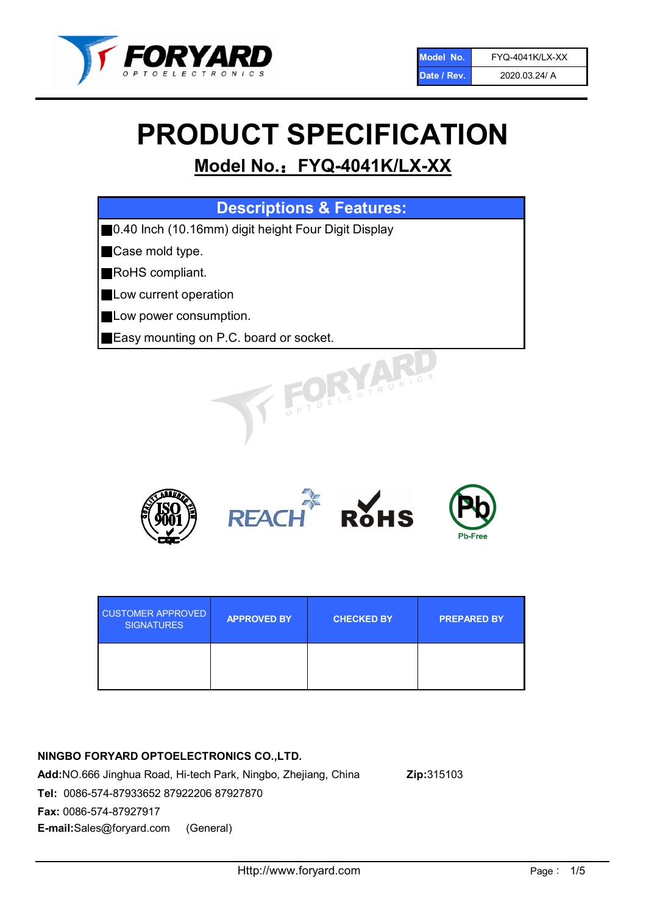

# PRODUCT SPECIFICATION

# Model No.: FYQ-4041K/LX-XX

| <b>Descriptions &amp; Features:</b>                   |
|-------------------------------------------------------|
| ■ 0.40 Inch (10.16mm) digit height Four Digit Display |
| Case mold type.                                       |
| <b>RoHS</b> compliant.<br>Ш                           |
| Low current operation                                 |
| Low power consumption.                                |
| <b>Easy mounting on P.C. board or socket.</b>         |
| TOELECTRONIC.                                         |



| <b>CUSTOMER APPROVED</b><br><b>SIGNATURES</b> | <b>APPROVED BY</b> | <b>CHECKED BY</b> | <b>PREPARED BY</b> |
|-----------------------------------------------|--------------------|-------------------|--------------------|
|                                               |                    |                   |                    |

### NINGBO FORYARD OPTOELECTRONICS CO.,LTD.

Add:NO.666 Jinghua Road, Hi-tech Park, Ningbo, Zhejiang, China Zip:315103 Tel: 0086-574-87933652 87922206 87927870 Fax: 0086-574-87927917 E-mail:Sales@foryard.com (General)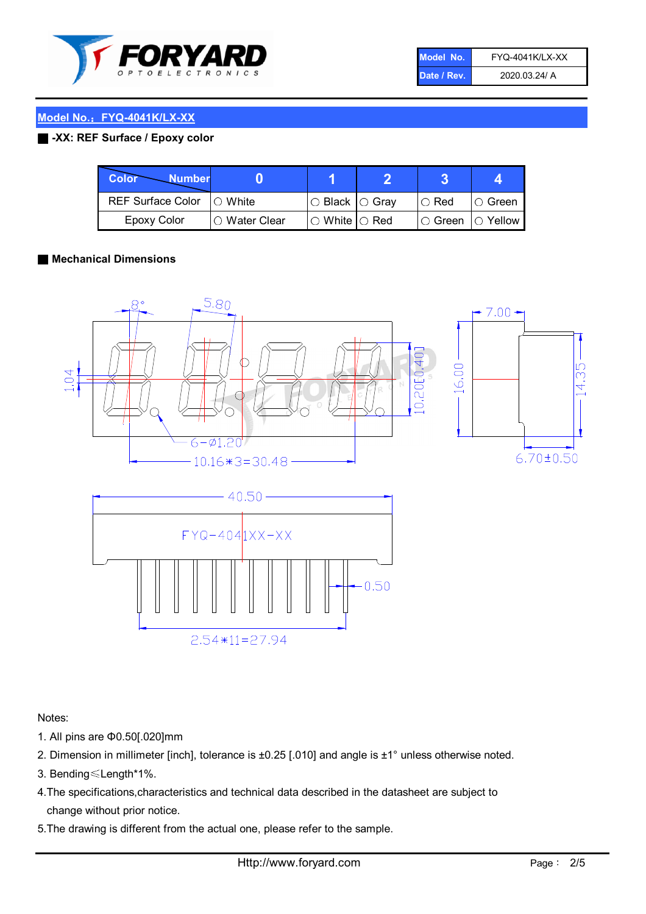

| Model No.   | <b>FYQ-4041K/LX-XX</b> |
|-------------|------------------------|
| Date / Rev. | 2020.03.24/ A          |

#### Model No.: FYQ-4041K/LX-XX

#### ■ -XX: REF Surface / Epoxy color

| Color<br><b>Number</b>      |                |                                                   |             |                |
|-----------------------------|----------------|---------------------------------------------------|-------------|----------------|
| REF Surface Color   O White |                | ○ Black  ○ Gray                                   | $\circ$ Red | $\circ$ Green  |
| Epoxy Color                 | I⊖ Water Clear | $\mathbin{\varcap}$ White $\mathbin{\varcap}$ Red | IO Green∶   | $\circ$ Yellow |

#### ■ Mechanical Dimensions





Notes:

- 1. All pins are Φ0.50[.020]mm
- 2. Dimension in millimeter [inch], tolerance is ±0.25 [.010] and angle is ±1° unless otherwise noted.
- 3. Bending≤Length\*1%.
- 4.The specifications,characteristics and technical data described in the datasheet are subject to change without prior notice.
- 5.The drawing is different from the actual one, please refer to the sample.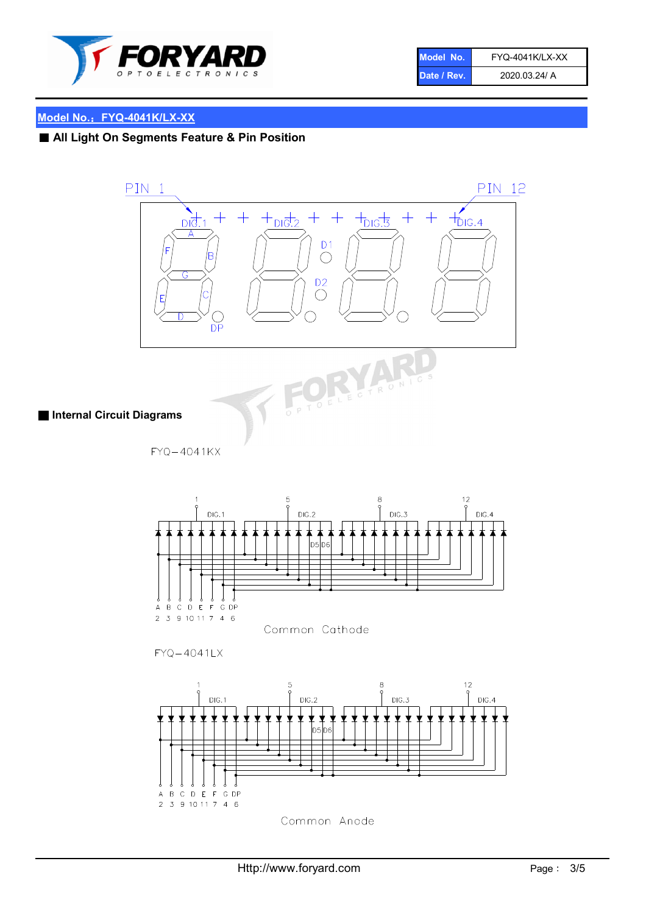

| Model No.   | <b>FYQ-4041K/LX-XX</b> |
|-------------|------------------------|
| Date / Rev. | 2020.03.24/ A          |

## Model No.: FYQ-4041K/LX-XX

# ■ All Light On Segments Feature & Pin Position



Common Anode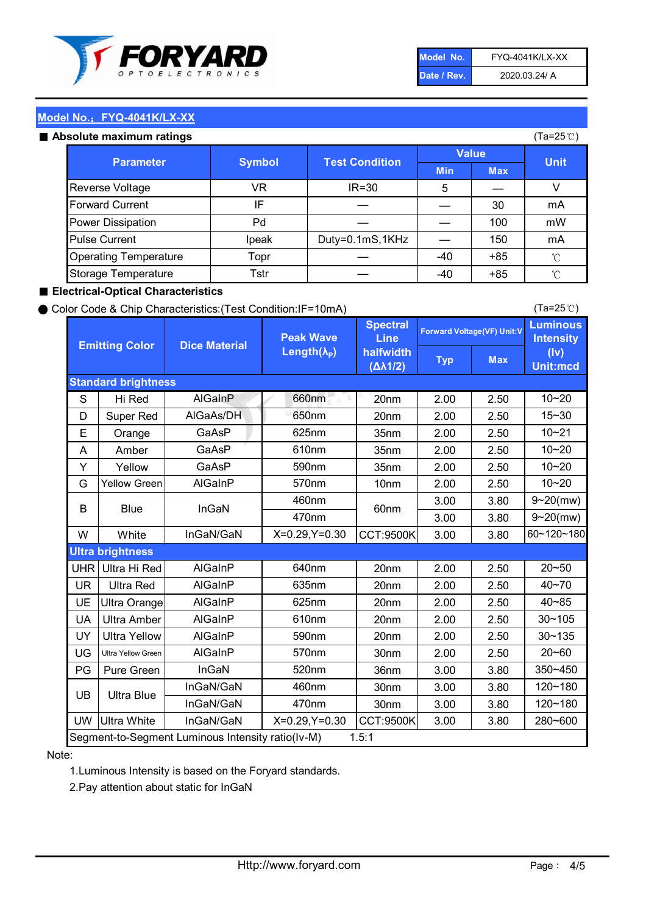

| Model No.   | <b>FYQ-4041K/LX-XX</b> |
|-------------|------------------------|
| Date / Rev. | 2020.03.24/ A          |

(Ta=25℃)

#### Model No.: FYQ-4041K/LX-XX

#### Absolute maximum

| solute maximum ratings       |               |                       |              |            | (Ta=25℃)    |
|------------------------------|---------------|-----------------------|--------------|------------|-------------|
| <b>Parameter</b>             |               | <b>Test Condition</b> | <b>Value</b> |            |             |
|                              | <b>Symbol</b> |                       | <b>Min</b>   | <b>Max</b> | <b>Unit</b> |
| Reverse Voltage              | VR            | $IR = 30$             | 5            |            |             |
| <b>Forward Current</b>       | ΙF            |                       |              | 30         | mA          |
| Power Dissipation            | Pd            |                       |              | 100        | mW          |
| <b>Pulse Current</b>         | Ipeak         | Duty=0.1mS,1KHz       |              | 150        | mA          |
| <b>Operating Temperature</b> | Topr          |                       | $-40$        | $+85$      | °C          |
| Storage Temperature          | Tstr          |                       | $-40$        | $+85$      | °C          |

#### ■ Electrical-Optical Characteristics

#### ● Color Code & Chip Characteristics:(Test Condition:IF=10mA)

Typ Max S | Hi $\textsf{Red}$  | AlGaInP | 660nm LE 20nm | 2.00 | 2.50 D | Super Red | AIGaAs/DH | 650nm | 20nm | 2.00 | 2.50 E | Orange | GaAsP | 625nm | 35nm | 2.00 | 2.50 A | Amber | GaAsP | 610nm | 35nm | 2.00 | 2.50 Y | Yellow | GaAsP | 590nm | 35nm | 2.00 | 2.50 G Yellow Green AIGaInP | 570nm | 10nm | 2.00 | 2.50 3.00 3.80 3.00 3.80 W | White | InGaN/GaN | X=0.29,Y=0.30 |CCT:9500K| 3.00 | 3.80 UHR Ultra Hi Red | AlGaInP | 640nm | 20nm | 2.00 | 2.50 UR | Ultra Red | AlGaInP | 635nm | 20nm | 2.00 | 2.50 UE Ultra Orange | AIGaInP | 625nm | 20nm | 2.00 | 2.50 UA Ultra Amber | AIGaInP | 610nm | 20nm | 2.00 | 2.50  $UV$  Ultra Yellow  $\vert$  AlGaInP  $\vert$  590nm  $\vert$  20nm  $\vert$  2.00  $\vert$  2.50  $\text{UG}$  Ultra Yellow Green | AIGaInP | 570nm | 30nm | 2.00 | 2.50 PG Pure Green | InGaN | 520nm | 36nm | 3.00 | 3.80 30nm 3.00 3.80 30nm 3.00 3.80 UW |Ultra White | InGaN/GaN | X=0.29,Y=0.30 |CCT:9500K| 3.00 | 3.80 40~85 60~120~180 40~70 Segment-to-Segment Luminous Intensity ratio(Iv-M) 1.5:1 610nm 9~20(mw) 350~450 470nm 120~180 120~180 Ultra Blue InGaN/GaN InGaN/GaN 9~20(mw) 20~50 280~600 570nm | 30nm | 2.00 | 2.50 | 20~60 470nm 590nm InGaN/GaN B Blue I InGaN 570nm | 10nm | 2.00 | 2.50 | 10~20 30~105 30~135 460nm 520nm Ultra brightness **AlGaInP** AlGaInP 60nm AlGaInP 640nm Peak Wave Length $(\lambda_{\rm P})$ UB 460nm 635nm AlGaInP AlGaInP AlGaInP InGaN/GaN AlGaInP 10~20 Luminous **Intensity** (Iv) Unit:mcd AlGainP 660nm GaAsP GaAsP AlGaAs/DH **Spectral** Line halfwidth (∆λ1/2) 10~20 Standard brightness Forward Voltage(VF) Unit:V 15~30 10~20 625nm GaAsP 590nm **Emitting Color Dice Material** 10~21 610nm

#### Note:

1.Luminous Intensity is based on the Foryard standards.

2.Pay attention about static for InGaN